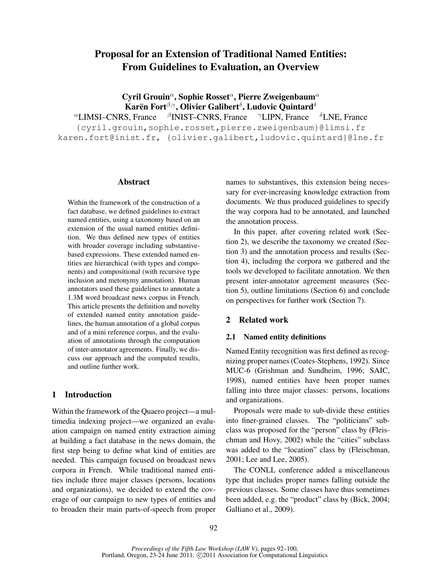# Proposal for an Extension of Traditional Named Entities: From Guidelines to Evaluation, an Overview

Cyril Grouin<sup>a</sup>, Sophie Rosset<sup>a</sup>, Pierre Zweigenbaum<sup>a</sup> Karën Fort $^{\beta,\gamma},$  Olivier Galibert $^{\delta},$  Ludovic Quintard $^{\delta}$  ${}^{\alpha}$ LIMSI–CNRS, France  ${}^{\beta}$ INIST–CNRS, France  ${}^{\gamma}$ LIPN, France  ${}^{\delta}$ LNE, France {cyril.grouin,sophie.rosset,pierre.zweigenbaum}@limsi.fr karen.fort@inist.fr, {olivier.galibert,ludovic.quintard}@lne.fr

#### Abstract

Within the framework of the construction of a fact database, we defined guidelines to extract named entities, using a taxonomy based on an extension of the usual named entities definition. We thus defined new types of entities with broader coverage including substantivebased expressions. These extended named entities are hierarchical (with types and components) and compositional (with recursive type inclusion and metonymy annotation). Human annotators used these guidelines to annotate a 1.3M word broadcast news corpus in French. This article presents the definition and novelty of extended named entity annotation guidelines, the human annotation of a global corpus and of a mini reference corpus, and the evaluation of annotations through the computation of inter-annotator agreements. Finally, we discuss our approach and the computed results, and outline further work.

# 1 Introduction

Within the framework of the Quaero project—a multimedia indexing project—we organized an evaluation campaign on named entity extraction aiming at building a fact database in the news domain, the first step being to define what kind of entities are needed. This campaign focused on broadcast news corpora in French. While traditional named entities include three major classes (persons, locations and organizations), we decided to extend the coverage of our campaign to new types of entities and to broaden their main parts-of-speech from proper names to substantives, this extension being necessary for ever-increasing knowledge extraction from documents. We thus produced guidelines to specify the way corpora had to be annotated, and launched the annotation process.

In this paper, after covering related work (Section 2), we describe the taxonomy we created (Section 3) and the annotation process and results (Section 4), including the corpora we gathered and the tools we developed to facilitate annotation. We then present inter-annotator agreement measures (Section 5), outline limitations (Section 6) and conclude on perspectives for further work (Section 7).

#### 2 Related work

# 2.1 Named entity definitions

Named Entity recognition was first defined as recognizing proper names (Coates-Stephens, 1992). Since MUC-6 (Grishman and Sundheim, 1996; SAIC, 1998), named entities have been proper names falling into three major classes: persons, locations and organizations.

Proposals were made to sub-divide these entities into finer-grained classes. The "politicians" subclass was proposed for the "person" class by (Fleischman and Hovy, 2002) while the "cities" subclass was added to the "location" class by (Fleischman, 2001; Lee and Lee, 2005).

The CONLL conference added a miscellaneous type that includes proper names falling outside the previous classes. Some classes have thus sometimes been added, e.g. the "product" class by (Bick, 2004; Galliano et al., 2009).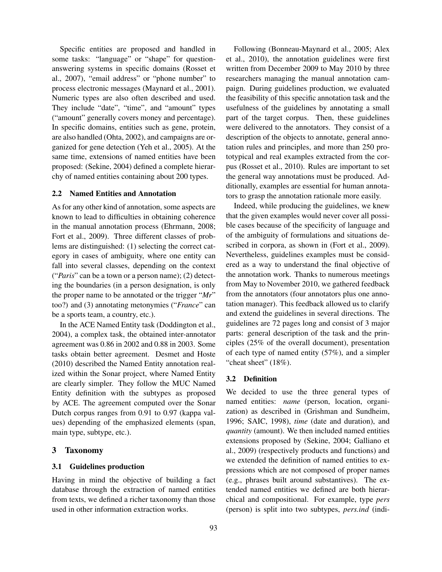Specific entities are proposed and handled in some tasks: "language" or "shape" for questionanswering systems in specific domains (Rosset et al., 2007), "email address" or "phone number" to process electronic messages (Maynard et al., 2001). Numeric types are also often described and used. They include "date", "time", and "amount" types ("amount" generally covers money and percentage). In specific domains, entities such as gene, protein, are also handled (Ohta, 2002), and campaigns are organized for gene detection (Yeh et al., 2005). At the same time, extensions of named entities have been proposed: (Sekine, 2004) defined a complete hierarchy of named entities containing about 200 types.

#### 2.2 Named Entities and Annotation

As for any other kind of annotation, some aspects are known to lead to difficulties in obtaining coherence in the manual annotation process (Ehrmann, 2008; Fort et al., 2009). Three different classes of problems are distinguished: (1) selecting the correct category in cases of ambiguity, where one entity can fall into several classes, depending on the context ("*Paris*" can be a town or a person name); (2) detecting the boundaries (in a person designation, is only the proper name to be annotated or the trigger "*Mr*" too?) and (3) annotating metonymies ("*France*" can be a sports team, a country, etc.).

In the ACE Named Entity task (Doddington et al., 2004), a complex task, the obtained inter-annotator agreement was 0.86 in 2002 and 0.88 in 2003. Some tasks obtain better agreement. Desmet and Hoste (2010) described the Named Entity annotation realized within the Sonar project, where Named Entity are clearly simpler. They follow the MUC Named Entity definition with the subtypes as proposed by ACE. The agreement computed over the Sonar Dutch corpus ranges from 0.91 to 0.97 (kappa values) depending of the emphasized elements (span, main type, subtype, etc.).

# 3 Taxonomy

#### 3.1 Guidelines production

Having in mind the objective of building a fact database through the extraction of named entities from texts, we defined a richer taxonomy than those used in other information extraction works.

Following (Bonneau-Maynard et al., 2005; Alex et al., 2010), the annotation guidelines were first written from December 2009 to May 2010 by three researchers managing the manual annotation campaign. During guidelines production, we evaluated the feasibility of this specific annotation task and the usefulness of the guidelines by annotating a small part of the target corpus. Then, these guidelines were delivered to the annotators. They consist of a description of the objects to annotate, general annotation rules and principles, and more than 250 prototypical and real examples extracted from the corpus (Rosset et al., 2010). Rules are important to set the general way annotations must be produced. Additionally, examples are essential for human annotators to grasp the annotation rationale more easily.

Indeed, while producing the guidelines, we knew that the given examples would never cover all possible cases because of the specificity of language and of the ambiguity of formulations and situations described in corpora, as shown in (Fort et al., 2009). Nevertheless, guidelines examples must be considered as a way to understand the final objective of the annotation work. Thanks to numerous meetings from May to November 2010, we gathered feedback from the annotators (four annotators plus one annotation manager). This feedback allowed us to clarify and extend the guidelines in several directions. The guidelines are 72 pages long and consist of 3 major parts: general description of the task and the principles (25% of the overall document), presentation of each type of named entity (57%), and a simpler "cheat sheet" (18%).

## 3.2 Definition

We decided to use the three general types of named entities: *name* (person, location, organization) as described in (Grishman and Sundheim, 1996; SAIC, 1998), *time* (date and duration), and *quantity* (amount). We then included named entities extensions proposed by (Sekine, 2004; Galliano et al., 2009) (respectively products and functions) and we extended the definition of named entities to expressions which are not composed of proper names (e.g., phrases built around substantives). The extended named entities we defined are both hierarchical and compositional. For example, type *pers* (person) is split into two subtypes, *pers.ind* (indi-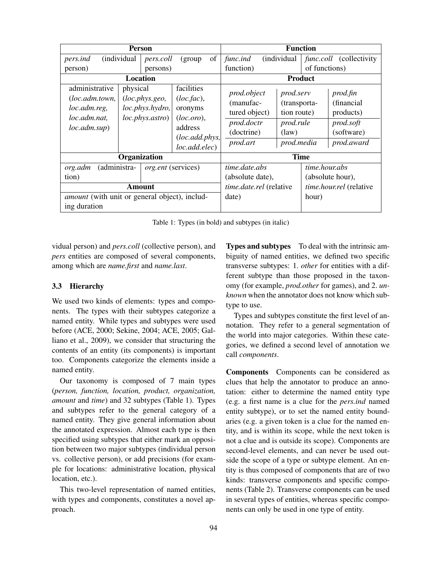| <b>Person</b>                                                                     |                                                                   |                           | <b>Function</b>                                                                                  |                                       |                                                                                          |                                   |                                                                                     |  |                                                                               |
|-----------------------------------------------------------------------------------|-------------------------------------------------------------------|---------------------------|--------------------------------------------------------------------------------------------------|---------------------------------------|------------------------------------------------------------------------------------------|-----------------------------------|-------------------------------------------------------------------------------------|--|-------------------------------------------------------------------------------|
| pers.ind                                                                          | (individual                                                       | <i>pers.coll</i>          | (group)                                                                                          | of<br>func.ind<br><i>(individual)</i> |                                                                                          |                                   | <i>func.coll</i> (collectivity                                                      |  |                                                                               |
| person)<br>persons)                                                               |                                                                   |                           |                                                                                                  | function)                             |                                                                                          |                                   | of functions)                                                                       |  |                                                                               |
| <b>Location</b>                                                                   |                                                                   |                           | <b>Product</b>                                                                                   |                                       |                                                                                          |                                   |                                                                                     |  |                                                                               |
| administrative<br>(loc.adm.town,<br>loc.adm.reg,<br>loc.adm.nat,<br>loc.addm.sub) | physical<br>(loc.phys.geo,<br>loc.phys.hydro,<br>loc.phys. astro) |                           | facilities<br>(loc, fac),<br>oronyms<br>(loc.oro),<br>address<br>(loc.add.phys,<br>loc.add.elec) |                                       | <i>prod.object</i><br>(manufac-<br>tured object)<br>prod.doctr<br>(doctrine)<br>prod.art |                                   | <i>prod.serv</i><br>(transporta-<br>tion route)<br>prod.rule<br>(law)<br>prod.media |  | prod.fin<br>(financial)<br>products)<br>prod.soft<br>(software)<br>prod.award |
| Organization                                                                      |                                                                   |                           |                                                                                                  | <b>Time</b>                           |                                                                                          |                                   |                                                                                     |  |                                                                               |
| (administra-<br>org.adm<br>tion)                                                  |                                                                   | <i>org.ent</i> (services) |                                                                                                  | time.date.abs<br>(absolute date),     |                                                                                          | time.hour.abs<br>(absolute hour), |                                                                                     |  |                                                                               |
| Amount                                                                            |                                                                   |                           |                                                                                                  | <i>time.date.rel</i> (relative        |                                                                                          |                                   | <i>time.hour.rel</i> (relative                                                      |  |                                                                               |
| <i>amount</i> (with unit or general object), includ-                              |                                                                   |                           |                                                                                                  | date)                                 |                                                                                          |                                   | hour)                                                                               |  |                                                                               |
| ing duration                                                                      |                                                                   |                           |                                                                                                  |                                       |                                                                                          |                                   |                                                                                     |  |                                                                               |

Table 1: Types (in bold) and subtypes (in italic)

vidual person) and *pers.coll* (collective person), and *pers* entities are composed of several components, among which are *name.first* and *name.last*.

# 3.3 Hierarchy

We used two kinds of elements: types and components. The types with their subtypes categorize a named entity. While types and subtypes were used before (ACE, 2000; Sekine, 2004; ACE, 2005; Galliano et al., 2009), we consider that structuring the contents of an entity (its components) is important too. Components categorize the elements inside a named entity.

Our taxonomy is composed of 7 main types (*person, function, location, product, organization, amount* and *time*) and 32 subtypes (Table 1). Types and subtypes refer to the general category of a named entity. They give general information about the annotated expression. Almost each type is then specified using subtypes that either mark an opposition between two major subtypes (individual person vs. collective person), or add precisions (for example for locations: administrative location, physical location, etc.).

This two-level representation of named entities, with types and components, constitutes a novel approach.

Types and subtypes To deal with the intrinsic ambiguity of named entities, we defined two specific transverse subtypes: 1. *other* for entities with a different subtype than those proposed in the taxonomy (for example, *prod.other* for games), and 2. *unknown* when the annotator does not know which subtype to use.

Types and subtypes constitute the first level of annotation. They refer to a general segmentation of the world into major categories. Within these categories, we defined a second level of annotation we call *components*.

Components Components can be considered as clues that help the annotator to produce an annotation: either to determine the named entity type (e.g. a first name is a clue for the *pers.ind* named entity subtype), or to set the named entity boundaries (e.g. a given token is a clue for the named entity, and is within its scope, while the next token is not a clue and is outside its scope). Components are second-level elements, and can never be used outside the scope of a type or subtype element. An entity is thus composed of components that are of two kinds: transverse components and specific components (Table 2). Transverse components can be used in several types of entities, whereas specific components can only be used in one type of entity.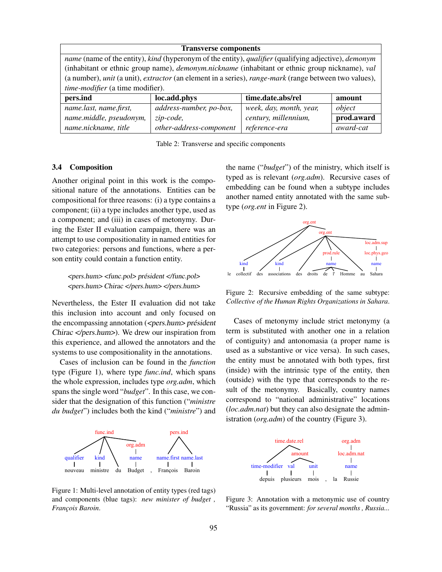| <b>Transverse components</b>                                                                                               |                         |                         |            |  |  |  |
|----------------------------------------------------------------------------------------------------------------------------|-------------------------|-------------------------|------------|--|--|--|
| name (name of the entity), kind (hyperonym of the entity), qualifier (qualifying adjective), demonym                       |                         |                         |            |  |  |  |
| (inhabitant or ethnic group name), <i>demonym.nickname</i> (inhabitant or ethnic group nickname), val                      |                         |                         |            |  |  |  |
| (a number), <i>unit</i> (a unit), <i>extractor</i> (an element in a series), <i>range-mark</i> (range between two values), |                         |                         |            |  |  |  |
| time-modifier (a time modifier).                                                                                           |                         |                         |            |  |  |  |
| pers.ind                                                                                                                   | loc.add.phys            | time.date.abs/rel       | amount     |  |  |  |
| name.last, name.first,                                                                                                     | address-number, po-box, | week, day, month, year, | object     |  |  |  |
| name.middle, pseudonym,                                                                                                    | zip-code,               | century, millennium,    | prod.award |  |  |  |
| name.nickname, title                                                                                                       | other-address-component | reference-era           | award-cat  |  |  |  |

Table 2: Transverse and specific components

#### 3.4 Composition

Another original point in this work is the compositional nature of the annotations. Entities can be compositional for three reasons: (i) a type contains a component; (ii) a type includes another type, used as a component; and (iii) in cases of metonymy. During the Ester II evaluation campaign, there was an attempt to use compositionality in named entities for two categories: persons and functions, where a person entity could contain a function entity.

<pers.hum> <func.pol> président </func.pol> <pers.hum> Chirac </pers.hum> </pers.hum>

Nevertheless, the Ester II evaluation did not take this inclusion into account and only focused on the encompassing annotation (<pers.hum> président Chirac </pers.hum>). We drew our inspiration from this experience, and allowed the annotators and the systems to use compositionality in the annotations.

Cases of inclusion can be found in the *function* type (Figure 1), where type *func.ind*, which spans the whole expression, includes type *org.adm*, which spans the single word "*budget*". In this case, we consider that the designation of this function ("*ministre du budget*") includes both the kind ("*ministre*") and



Figure 1: Multi-level annotation of entity types (red tags) and components (blue tags): *new minister of budget , François Baroin*.

the name ("*budget*") of the ministry, which itself is typed as is relevant (*org.adm*). Recursive cases of embedding can be found when a subtype includes another named entity annotated with the same subtype (*org.ent* in Figure 2).



Figure 2: Recursive embedding of the same subtype: *Collective of the Human Rights Organizations in Sahara*.

Cases of metonymy include strict metonymy (a term is substituted with another one in a relation of contiguity) and antonomasia (a proper name is used as a substantive or vice versa). In such cases, the entity must be annotated with both types, first (inside) with the intrinsic type of the entity, then (outside) with the type that corresponds to the result of the metonymy. Basically, country names correspond to "national administrative" locations (*loc.adm.nat*) but they can also designate the administration (*org.adm*) of the country (Figure 3).



Figure 3: Annotation with a metonymic use of country "Russia" as its government: *for several months , Russia...*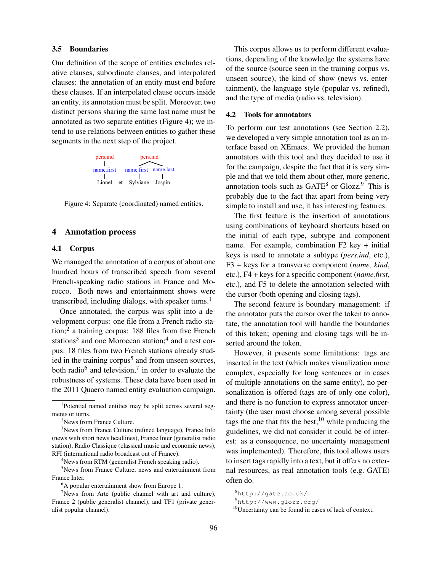#### 3.5 Boundaries

Our definition of the scope of entities excludes relative clauses, subordinate clauses, and interpolated clauses: the annotation of an entity must end before these clauses. If an interpolated clause occurs inside an entity, its annotation must be split. Moreover, two distinct persons sharing the same last name must be annotated as two separate entities (Figure 4); we intend to use relations between entities to gather these segments in the next step of the project.



Figure 4: Separate (coordinated) named entities.

# 4 Annotation process

#### 4.1 Corpus

We managed the annotation of a corpus of about one hundred hours of transcribed speech from several French-speaking radio stations in France and Morocco. Both news and entertainment shows were transcribed, including dialogs, with speaker turns.<sup>1</sup>

Once annotated, the corpus was split into a development corpus: one file from a French radio station;<sup>2</sup> a training corpus: 188 files from five French stations<sup>3</sup> and one Moroccan station;<sup>4</sup> and a test corpus: 18 files from two French stations already studied in the training corpus<sup>5</sup> and from unseen sources, both radio<sup>6</sup> and television,<sup>7</sup> in order to evaluate the robustness of systems. These data have been used in the 2011 Quaero named entity evaluation campaign.

<sup>4</sup>News from RTM (generalist French speaking radio).

<sup>5</sup>News from France Culture, news and entertainment from France Inter.

This corpus allows us to perform different evaluations, depending of the knowledge the systems have of the source (source seen in the training corpus vs. unseen source), the kind of show (news vs. entertainment), the language style (popular vs. refined), and the type of media (radio vs. television).

## 4.2 Tools for annotators

To perform our test annotations (see Section 2.2), we developed a very simple annotation tool as an interface based on XEmacs. We provided the human annotators with this tool and they decided to use it for the campaign, despite the fact that it is very simple and that we told them about other, more generic, annotation tools such as  $GATE^8$  or  $Glozz^9$ . This is probably due to the fact that apart from being very simple to install and use, it has interesting features.

The first feature is the insertion of annotations using combinations of keyboard shortcuts based on the initial of each type, subtype and component name. For example, combination F2 key + initial keys is used to annotate a subtype (*pers.ind*, etc.), F3 + keys for a transverse component (*name, kind*, etc.), F4 + keys for a specific component (*name.first*, etc.), and F5 to delete the annotation selected with the cursor (both opening and closing tags).

The second feature is boundary management: if the annotator puts the cursor over the token to annotate, the annotation tool will handle the boundaries of this token; opening and closing tags will be inserted around the token.

However, it presents some limitations: tags are inserted in the text (which makes visualization more complex, especially for long sentences or in cases of multiple annotations on the same entity), no personalization is offered (tags are of only one color), and there is no function to express annotator uncertainty (the user must choose among several possible tags the one that fits the best;<sup>10</sup> while producing the guidelines, we did not consider it could be of interest: as a consequence, no uncertainty management was implemented). Therefore, this tool allows users to insert tags rapidly into a text, but it offers no external resources, as real annotation tools (e.g. GATE) often do.

<sup>1</sup> Potential named entities may be split across several segments or turns.

<sup>&</sup>lt;sup>2</sup>News from France Culture.

<sup>&</sup>lt;sup>3</sup>News from France Culture (refined language), France Info (news with short news headlines), France Inter (generalist radio station), Radio Classique (classical music and economic news), RFI (international radio broadcast out of France).

<sup>&</sup>lt;sup>6</sup>A popular entertainment show from Europe 1.

 $\gamma$ News from Arte (public channel with art and culture), France 2 (public generalist channel), and TF1 (private generalist popular channel).

<sup>8</sup>http://gate.ac.uk/

<sup>9</sup>http://www.glozz.org/

<sup>10</sup>Uncertainty can be found in cases of lack of context.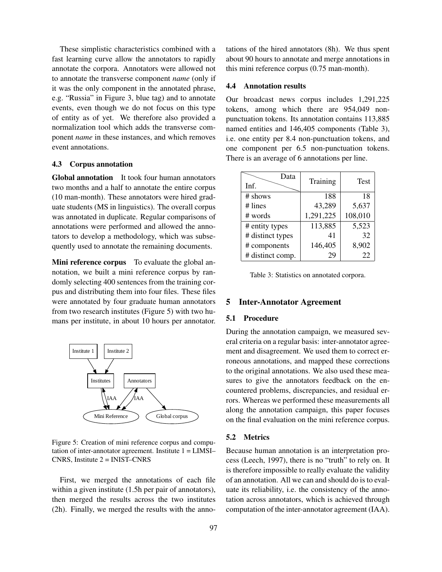These simplistic characteristics combined with a fast learning curve allow the annotators to rapidly annotate the corpora. Annotators were allowed not to annotate the transverse component *name* (only if it was the only component in the annotated phrase, e.g. "Russia" in Figure 3, blue tag) and to annotate events, even though we do not focus on this type of entity as of yet. We therefore also provided a normalization tool which adds the transverse component *name* in these instances, and which removes event annotations.

## 4.3 Corpus annotation

Global annotation It took four human annotators two months and a half to annotate the entire corpus (10 man-month). These annotators were hired graduate students (MS in linguistics). The overall corpus was annotated in duplicate. Regular comparisons of annotations were performed and allowed the annotators to develop a methodology, which was subsequently used to annotate the remaining documents.

Mini reference corpus To evaluate the global annotation, we built a mini reference corpus by randomly selecting 400 sentences from the training corpus and distributing them into four files. These files were annotated by four graduate human annotators from two research institutes (Figure 5) with two humans per institute, in about 10 hours per annotator.



Figure 5: Creation of mini reference corpus and computation of inter-annotator agreement. Institute 1 = LIMSI– CNRS, Institute  $2 = INIST-CNRS$ 

First, we merged the annotations of each file within a given institute  $(1.5h$  per pair of annotators), then merged the results across the two institutes (2h). Finally, we merged the results with the annotations of the hired annotators (8h). We thus spent about 90 hours to annotate and merge annotations in this mini reference corpus (0.75 man-month).

#### 4.4 Annotation results

Our broadcast news corpus includes 1,291,225 tokens, among which there are 954,049 nonpunctuation tokens. Its annotation contains 113,885 named entities and 146,405 components (Table 3), i.e. one entity per 8.4 non-punctuation tokens, and one component per 6.5 non-punctuation tokens. There is an average of 6 annotations per line.

| Data<br>Inf.     | Training  | <b>Test</b> |
|------------------|-----------|-------------|
| # shows          | 188       | 18          |
| $#$ lines        | 43,289    | 5,637       |
| # words          | 1,291,225 | 108,010     |
| # entity types   | 113,885   | 5,523       |
| # distinct types | 41        | 32          |
| # components     | 146,405   | 8,902       |
| # distinct comp. | 2ς        | 22          |

Table 3: Statistics on annotated corpora.

# 5 Inter-Annotator Agreement

# 5.1 Procedure

During the annotation campaign, we measured several criteria on a regular basis: inter-annotator agreement and disagreement. We used them to correct erroneous annotations, and mapped these corrections to the original annotations. We also used these measures to give the annotators feedback on the encountered problems, discrepancies, and residual errors. Whereas we performed these measurements all along the annotation campaign, this paper focuses on the final evaluation on the mini reference corpus.

#### 5.2 Metrics

Because human annotation is an interpretation process (Leech, 1997), there is no "truth" to rely on. It is therefore impossible to really evaluate the validity of an annotation. All we can and should do is to evaluate its reliability, i.e. the consistency of the annotation across annotators, which is achieved through computation of the inter-annotator agreement (IAA).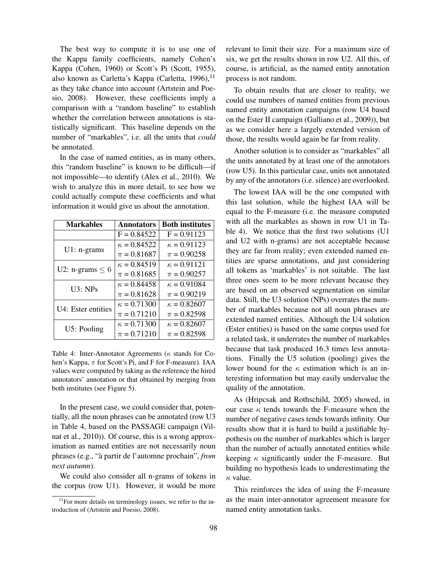The best way to compute it is to use one of the Kappa family coefficients, namely Cohen's Kappa (Cohen, 1960) or Scott's Pi (Scott, 1955), also known as Carletta's Kappa (Carletta, 1996),  $<sup>11</sup>$ </sup> as they take chance into account (Artstein and Poesio, 2008). However, these coefficients imply a comparison with a "random baseline" to establish whether the correlation between annotations is statistically significant. This baseline depends on the number of "markables", i.e. all the units that *could* be annotated.

In the case of named entities, as in many others, this "random baseline" is known to be difficult—if not impossible—to identify (Alex et al., 2010). We wish to analyze this in more detail, to see how we could actually compute these coefficients and what information it would give us about the annotation.

| <b>Markables</b>     | <b>Annotators</b>  | <b>Both institutes</b> |
|----------------------|--------------------|------------------------|
|                      | $F = 0.84522$      | $F = 0.91123$          |
| $U1: n-grams$        | $\kappa = 0.84522$ | $\kappa = 0.91123$     |
|                      | $\pi = 0.81687$    | $\pi = 0.90258$        |
| U2: n-grams $\leq 6$ | $\kappa = 0.84519$ | $\kappa = 0.91121$     |
|                      | $\pi = 0.81685$    | $\pi = 0.90257$        |
| $U3:$ NPs            | $\kappa = 0.84458$ | $\kappa = 0.91084$     |
|                      | $\pi = 0.81628$    | $\pi = 0.90219$        |
| U4: Ester entities   | $\kappa = 0.71300$ | $\kappa = 0.82607$     |
|                      | $\pi = 0.71210$    | $\pi = 0.82598$        |
| U5: Pooling          | $\kappa = 0.71300$ | $\kappa = 0.82607$     |
|                      | $\pi = 0.71210$    | $\pi = 0.82598$        |

Table 4: Inter-Annotator Agreements ( $\kappa$  stands for Cohen's Kappa,  $\pi$  for Scott's Pi, and F for F-measure). IAA values were computed by taking as the reference the hired annotators' annotation or that obtained by merging from both institutes (see Figure 5).

In the present case, we could consider that, potentially, all the noun phrases can be annotated (row U3 in Table 4, based on the PASSAGE campaign (Vilnat et al., 2010)). Of course, this is a wrong approximation as named entities are not necessarily noun phrases (e.g., "à partir de l'automne prochain", *from next autumn*).

We could also consider all n-grams of tokens in the corpus (row U1). However, it would be more relevant to limit their size. For a maximum size of six, we get the results shown in row U2. All this, of course, is artificial, as the named entity annotation process is not random.

To obtain results that are closer to reality, we could use numbers of named entities from previous named entity annotation campaigns (row U4 based on the Ester II campaign (Galliano et al., 2009)), but as we consider here a largely extended version of those, the results would again be far from reality.

Another solution is to consider as "markables" all the units annotated by at least one of the annotators (row U5). In this particular case, units not annotated by any of the annotators (i.e. silence) are overlooked.

The lowest IAA will be the one computed with this last solution, while the highest IAA will be equal to the F-measure (i.e. the measure computed with all the markables as shown in row U1 in Table 4). We notice that the first two solutions (U1 and U2 with n-grams) are not acceptable because they are far from reality; even extended named entities are sparse annotations, and just considering all tokens as 'markables' is not suitable. The last three ones seem to be more relevant because they are based on an observed segmentation on similar data. Still, the U3 solution (NPs) overrates the number of markables because not all noun phrases are extended named entities. Although the U4 solution (Ester entities) is based on the same corpus used for a related task, it underrates the number of markables because that task produced 16.3 times less annotations. Finally the U5 solution (pooling) gives the lower bound for the  $\kappa$  estimation which is an interesting information but may easily undervalue the quality of the annotation.

As (Hripcsak and Rothschild, 2005) showed, in our case  $\kappa$  tends towards the F-measure when the number of negative cases tends towards infinity. Our results show that it is hard to build a justifiable hypothesis on the number of markables which is larger than the number of actually annotated entities while keeping  $\kappa$  significantly under the F-measure. But building no hypothesis leads to underestimating the  $\kappa$  value.

This reinforces the idea of using the F-measure as the main inter-annotator agreement measure for named entity annotation tasks.

 $11$ For more details on terminology issues, we refer to the introduction of (Artstein and Poesio, 2008).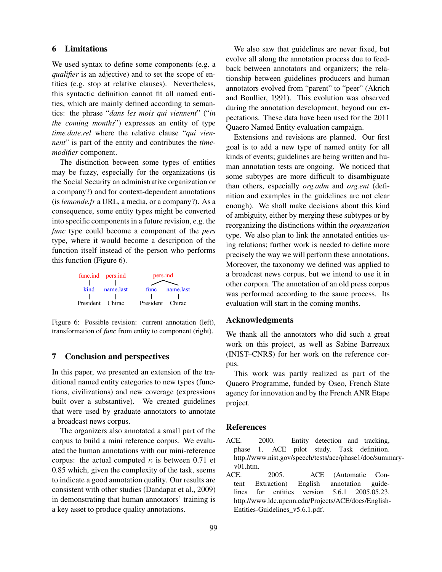# 6 Limitations

We used syntax to define some components (e.g. a *qualifier* is an adjective) and to set the scope of entities (e.g. stop at relative clauses). Nevertheless, this syntactic definition cannot fit all named entities, which are mainly defined according to semantics: the phrase "*dans les mois qui viennent*" ("*in the coming months*") expresses an entity of type *time.date.rel* where the relative clause "*qui viennent*" is part of the entity and contributes the *timemodifier* component.

The distinction between some types of entities may be fuzzy, especially for the organizations (is the Social Security an administrative organization or a company?) and for context-dependent annotations (is *lemonde.fr* a URL, a media, or a company?). As a consequence, some entity types might be converted into specific components in a future revision, e.g. the *func* type could become a component of the *pers* type, where it would become a description of the function itself instead of the person who performs this function (Figure 6).



Figure 6: Possible revision: current annotation (left), transformation of *func* from entity to component (right).

# 7 Conclusion and perspectives

In this paper, we presented an extension of the traditional named entity categories to new types (functions, civilizations) and new coverage (expressions built over a substantive). We created guidelines that were used by graduate annotators to annotate a broadcast news corpus.

The organizers also annotated a small part of the corpus to build a mini reference corpus. We evaluated the human annotations with our mini-reference corpus: the actual computed  $\kappa$  is between 0.71 et 0.85 which, given the complexity of the task, seems to indicate a good annotation quality. Our results are consistent with other studies (Dandapat et al., 2009) in demonstrating that human annotators' training is a key asset to produce quality annotations.

We also saw that guidelines are never fixed, but evolve all along the annotation process due to feedback between annotators and organizers; the relationship between guidelines producers and human annotators evolved from "parent" to "peer" (Akrich and Boullier, 1991). This evolution was observed during the annotation development, beyond our expectations. These data have been used for the 2011 Quaero Named Entity evaluation campaign.

Extensions and revisions are planned. Our first goal is to add a new type of named entity for all kinds of events; guidelines are being written and human annotation tests are ongoing. We noticed that some subtypes are more difficult to disambiguate than others, especially *org.adm* and *org.ent* (definition and examples in the guidelines are not clear enough). We shall make decisions about this kind of ambiguity, either by merging these subtypes or by reorganizing the distinctions within the *organization* type. We also plan to link the annotated entities using relations; further work is needed to define more precisely the way we will perform these annotations. Moreover, the taxonomy we defined was applied to a broadcast news corpus, but we intend to use it in other corpora. The annotation of an old press corpus was performed according to the same process. Its evaluation will start in the coming months.

#### Acknowledgments

We thank all the annotators who did such a great work on this project, as well as Sabine Barreaux (INIST–CNRS) for her work on the reference corpus.

This work was partly realized as part of the Quaero Programme, funded by Oseo, French State agency for innovation and by the French ANR Etape project.

# References

- ACE. 2000. Entity detection and tracking, phase 1, ACE pilot study. Task definition. http://www.nist.gov/speech/tests/ace/phase1/doc/summaryv01.htm.
- ACE. 2005. ACE (Automatic Content Extraction) English annotation guidelines for entities version 5.6.1 2005.05.23. http://www.ldc.upenn.edu/Projects/ACE/docs/English-Entities-Guidelines\_v5.6.1.pdf.